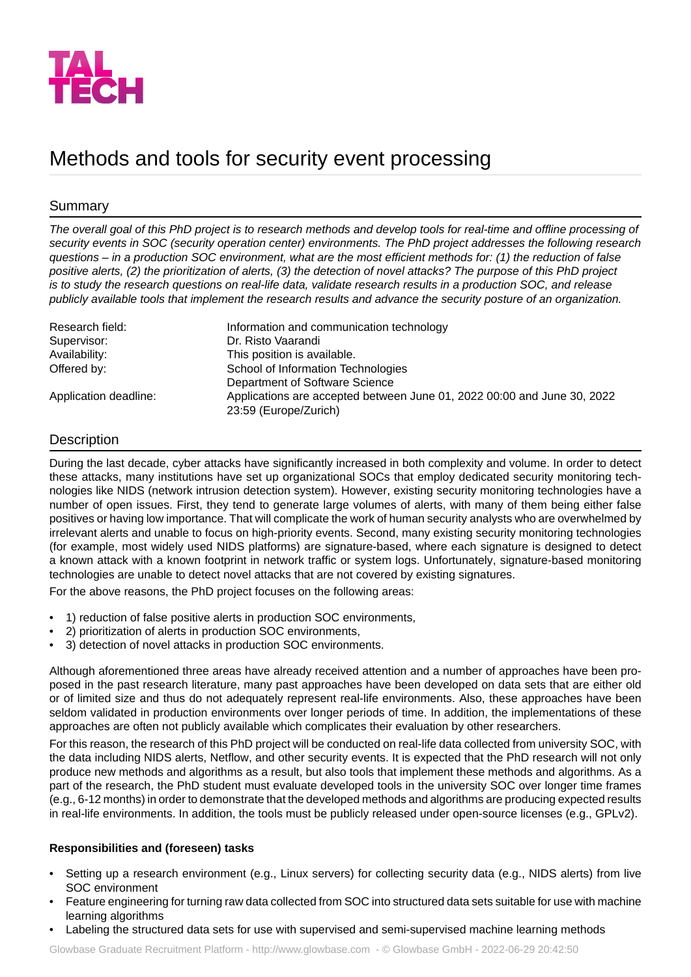

# Methods and tools for security event processing

## Summary

*The overall goal of this PhD project is to research methods and develop tools for real-time and offline processing of security events in SOC (security operation center) environments. The PhD project addresses the following research questions – in a production SOC environment, what are the most efficient methods for: (1) the reduction of false positive alerts, (2) the prioritization of alerts, (3) the detection of novel attacks? The purpose of this PhD project is to study the research questions on real-life data, validate research results in a production SOC, and release publicly available tools that implement the research results and advance the security posture of an organization.*

| Research field:       | Information and communication technology                                                         |
|-----------------------|--------------------------------------------------------------------------------------------------|
| Supervisor:           | Dr. Risto Vaarandi                                                                               |
| Availability:         | This position is available.                                                                      |
| Offered by:           | School of Information Technologies                                                               |
|                       | Department of Software Science                                                                   |
| Application deadline: | Applications are accepted between June 01, 2022 00:00 and June 30, 2022<br>23:59 (Europe/Zurich) |

# **Description**

During the last decade, cyber attacks have significantly increased in both complexity and volume. In order to detect these attacks, many institutions have set up organizational SOCs that employ dedicated security monitoring technologies like NIDS (network intrusion detection system). However, existing security monitoring technologies have a number of open issues. First, they tend to generate large volumes of alerts, with many of them being either false positives or having low importance. That will complicate the work of human security analysts who are overwhelmed by irrelevant alerts and unable to focus on high-priority events. Second, many existing security monitoring technologies (for example, most widely used NIDS platforms) are signature-based, where each signature is designed to detect a known attack with a known footprint in network traffic or system logs. Unfortunately, signature-based monitoring technologies are unable to detect novel attacks that are not covered by existing signatures.

For the above reasons, the PhD project focuses on the following areas:

- 1) reduction of false positive alerts in production SOC environments,
- 2) prioritization of alerts in production SOC environments,
- 3) detection of novel attacks in production SOC environments.

Although aforementioned three areas have already received attention and a number of approaches have been proposed in the past research literature, many past approaches have been developed on data sets that are either old or of limited size and thus do not adequately represent real-life environments. Also, these approaches have been seldom validated in production environments over longer periods of time. In addition, the implementations of these approaches are often not publicly available which complicates their evaluation by other researchers.

For this reason, the research of this PhD project will be conducted on real-life data collected from university SOC, with the data including NIDS alerts, Netflow, and other security events. It is expected that the PhD research will not only produce new methods and algorithms as a result, but also tools that implement these methods and algorithms. As a part of the research, the PhD student must evaluate developed tools in the university SOC over longer time frames (e.g., 6-12 months) in order to demonstrate that the developed methods and algorithms are producing expected results in real-life environments. In addition, the tools must be publicly released under open-source licenses (e.g., GPLv2).

## **Responsibilities and (foreseen) tasks**

- Setting up a research environment (e.g., Linux servers) for collecting security data (e.g., NIDS alerts) from live SOC environment
- Feature engineering for turning raw data collected from SOC into structured data sets suitable for use with machine learning algorithms
- Labeling the structured data sets for use with supervised and semi-supervised machine learning methods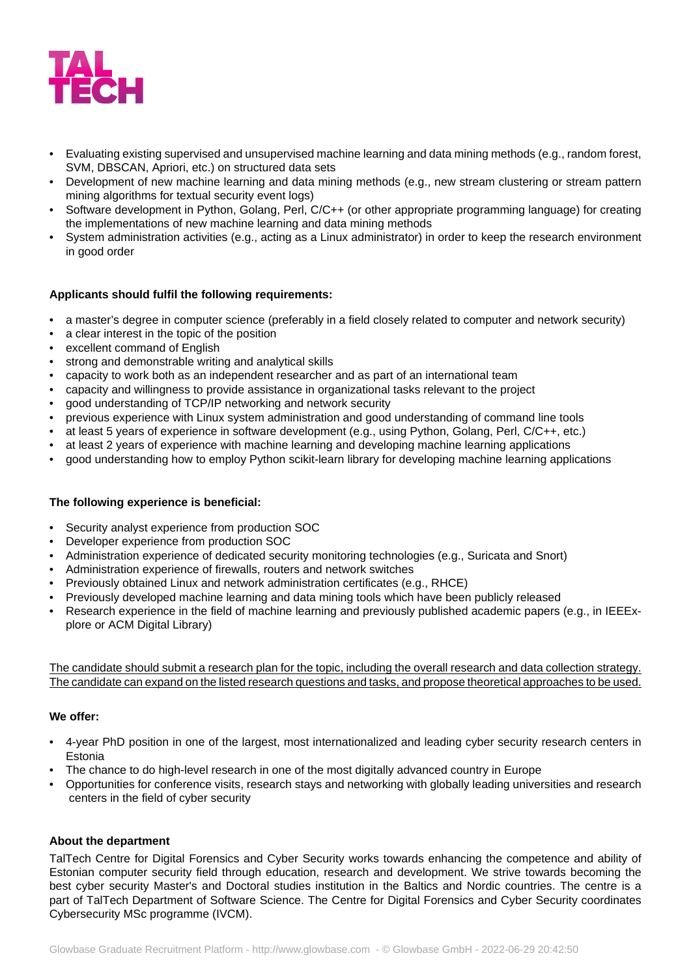

- Evaluating existing supervised and unsupervised machine learning and data mining methods (e.g., random forest, SVM, DBSCAN, Apriori, etc.) on structured data sets
- Development of new machine learning and data mining methods (e.g., new stream clustering or stream pattern mining algorithms for textual security event logs)
- Software development in Python, Golang, Perl, C/C++ (or other appropriate programming language) for creating the implementations of new machine learning and data mining methods
- System administration activities (e.g., acting as a Linux administrator) in order to keep the research environment in good order

### **Applicants should fulfil the following requirements:**

- a master's degree in computer science (preferably in a field closely related to computer and network security)
- a clear interest in the topic of the position
- excellent command of English
- strong and demonstrable writing and analytical skills
- capacity to work both as an independent researcher and as part of an international team
- capacity and willingness to provide assistance in organizational tasks relevant to the project
- good understanding of TCP/IP networking and network security
- previous experience with Linux system administration and good understanding of command line tools
- at least 5 years of experience in software development (e.g., using Python, Golang, Perl, C/C++, etc.)
- at least 2 years of experience with machine learning and developing machine learning applications
- good understanding how to employ Python scikit-learn library for developing machine learning applications

#### **The following experience is beneficial:**

- Security analyst experience from production SOC
- Developer experience from production SOC
- Administration experience of dedicated security monitoring technologies (e.g., Suricata and Snort)
- Administration experience of firewalls, routers and network switches
- Previously obtained Linux and network administration certificates (e.g., RHCE)
- Previously developed machine learning and data mining tools which have been publicly released
- Research experience in the field of machine learning and previously published academic papers (e.g., in IEEExplore or ACM Digital Library)

The candidate should submit a research plan for the topic, including the overall research and data collection strategy. The candidate can expand on the listed research questions and tasks, and propose theoretical approaches to be used.

### **We offer:**

- 4-year PhD position in one of the largest, most internationalized and leading cyber security research centers in Estonia
- The chance to do high-level research in one of the most digitally advanced country in Europe
- Opportunities for conference visits, research stays and networking with globally leading universities and research centers in the field of cyber security

#### **About the department**

TalTech Centre for Digital Forensics and Cyber Security works towards enhancing the competence and ability of Estonian computer security field through education, research and development. We strive towards becoming the best cyber security Master's and Doctoral studies institution in the Baltics and Nordic countries. The centre is a part of TalTech Department of Software Science. The Centre for Digital Forensics and Cyber Security coordinates Cybersecurity MSc programme (IVCM).